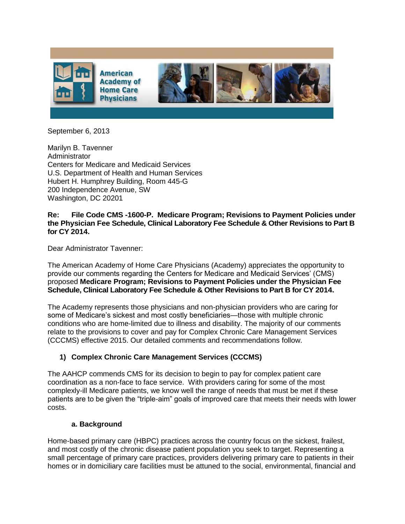

September 6, 2013

Marilyn B. Tavenner **Administrator** Centers for Medicare and Medicaid Services U.S. Department of Health and Human Services Hubert H. Humphrey Building, Room 445-G 200 Independence Avenue, SW Washington, DC 20201

#### **Re: File Code CMS -1600-P. Medicare Program; Revisions to Payment Policies under the Physician Fee Schedule, Clinical Laboratory Fee Schedule & Other Revisions to Part B for CY 2014.**

Dear Administrator Tavenner:

The American Academy of Home Care Physicians (Academy) appreciates the opportunity to provide our comments regarding the Centers for Medicare and Medicaid Services' (CMS) proposed **Medicare Program; Revisions to Payment Policies under the Physician Fee Schedule, Clinical Laboratory Fee Schedule & Other Revisions to Part B for CY 2014.**

The Academy represents those physicians and non-physician providers who are caring for some of Medicare's sickest and most costly beneficiaries—those with multiple chronic conditions who are home-limited due to illness and disability. The majority of our comments relate to the provisions to cover and pay for Complex Chronic Care Management Services (CCCMS) effective 2015. Our detailed comments and recommendations follow.

### **1) Complex Chronic Care Management Services (CCCMS)**

The AAHCP commends CMS for its decision to begin to pay for complex patient care coordination as a non-face to face service. With providers caring for some of the most complexly-ill Medicare patients, we know well the range of needs that must be met if these patients are to be given the "triple-aim" goals of improved care that meets their needs with lower costs.

#### **a. Background**

Home-based primary care (HBPC) practices across the country focus on the sickest, frailest, and most costly of the chronic disease patient population you seek to target. Representing a small percentage of primary care practices, providers delivering primary care to patients in their homes or in domiciliary care facilities must be attuned to the social, environmental, financial and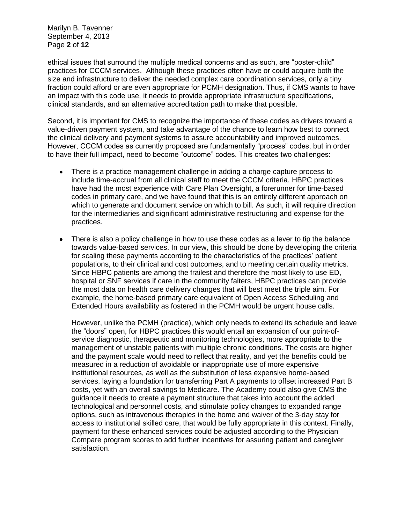Marilyn B. Tavenner September 4, 2013 Page **2** of **12**

ethical issues that surround the multiple medical concerns and as such, are "poster-child" practices for CCCM services. Although these practices often have or could acquire both the size and infrastructure to deliver the needed complex care coordination services, only a tiny fraction could afford or are even appropriate for PCMH designation. Thus, if CMS wants to have an impact with this code use, it needs to provide appropriate infrastructure specifications, clinical standards, and an alternative accreditation path to make that possible.

Second, it is important for CMS to recognize the importance of these codes as drivers toward a value-driven payment system, and take advantage of the chance to learn how best to connect the clinical delivery and payment systems to assure accountability and improved outcomes. However, CCCM codes as currently proposed are fundamentally "process" codes, but in order to have their full impact, need to become "outcome" codes. This creates two challenges:

- There is a practice management challenge in adding a charge capture process to  $\bullet$ include time-accrual from all clinical staff to meet the CCCM criteria. HBPC practices have had the most experience with Care Plan Oversight, a forerunner for time-based codes in primary care, and we have found that this is an entirely different approach on which to generate and document service on which to bill. As such, it will require direction for the intermediaries and significant administrative restructuring and expense for the practices.
- There is also a policy challenge in how to use these codes as a lever to tip the balance towards value-based services. In our view, this should be done by developing the criteria for scaling these payments according to the characteristics of the practices' patient populations, to their clinical and cost outcomes, and to meeting certain quality metrics. Since HBPC patients are among the frailest and therefore the most likely to use ED, hospital or SNF services if care in the community falters, HBPC practices can provide the most data on health care delivery changes that will best meet the triple aim. For example, the home-based primary care equivalent of Open Access Scheduling and Extended Hours availability as fostered in the PCMH would be urgent house calls.

However, unlike the PCMH (practice), which only needs to extend its schedule and leave the "doors" open, for HBPC practices this would entail an expansion of our point-ofservice diagnostic, therapeutic and monitoring technologies, more appropriate to the management of unstable patients with multiple chronic conditions. The costs are higher and the payment scale would need to reflect that reality, and yet the benefits could be measured in a reduction of avoidable or inappropriate use of more expensive institutional resources, as well as the substitution of less expensive home-based services, laying a foundation for transferring Part A payments to offset increased Part B costs, yet with an overall savings to Medicare. The Academy could also give CMS the guidance it needs to create a payment structure that takes into account the added technological and personnel costs, and stimulate policy changes to expanded range options, such as intravenous therapies in the home and waiver of the 3-day stay for access to institutional skilled care, that would be fully appropriate in this context. Finally, payment for these enhanced services could be adjusted according to the Physician Compare program scores to add further incentives for assuring patient and caregiver satisfaction.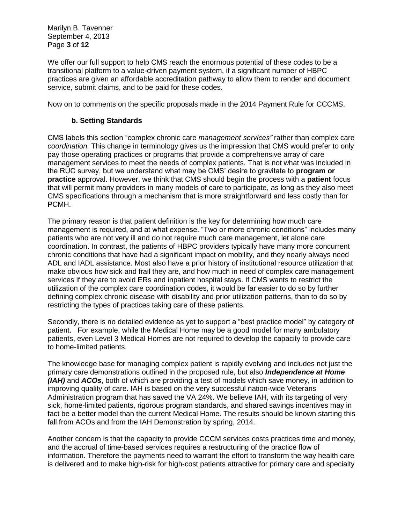Marilyn B. Tavenner September 4, 2013 Page **3** of **12**

We offer our full support to help CMS reach the enormous potential of these codes to be a transitional platform to a value-driven payment system, if a significant number of HBPC practices are given an affordable accreditation pathway to allow them to render and document service, submit claims, and to be paid for these codes.

Now on to comments on the specific proposals made in the 2014 Payment Rule for CCCMS.

#### **b. Setting Standards**

CMS labels this section "complex chronic care *management services"* rather than complex care *coordination.* This change in terminology gives us the impression that CMS would prefer to only pay those operating practices or programs that provide a comprehensive array of care management services to meet the needs of complex patients. That is not what was included in the RUC survey, but we understand what may be CMS' desire to gravitate to **program or practice** approval. However, we think that CMS should begin the process with a **patient** focus that will permit many providers in many models of care to participate, as long as they also meet CMS specifications through a mechanism that is more straightforward and less costly than for PCMH.

The primary reason is that patient definition is the key for determining how much care management is required, and at what expense. "Two or more chronic conditions" includes many patients who are not very ill and do not require much care management, let alone care coordination. In contrast, the patients of HBPC providers typically have many more concurrent chronic conditions that have had a significant impact on mobility, and they nearly always need ADL and IADL assistance. Most also have a prior history of institutional resource utilization that make obvious how sick and frail they are, and how much in need of complex care management services if they are to avoid ERs and inpatient hospital stays. If CMS wants to restrict the utilization of the complex care coordination codes, it would be far easier to do so by further defining complex chronic disease with disability and prior utilization patterns, than to do so by restricting the types of practices taking care of these patients.

Secondly, there is no detailed evidence as yet to support a "best practice model" by category of patient. For example, while the Medical Home may be a good model for many ambulatory patients, even Level 3 Medical Homes are not required to develop the capacity to provide care to home-limited patients.

The knowledge base for managing complex patient is rapidly evolving and includes not just the primary care demonstrations outlined in the proposed rule, but also *Independence at Home (IAH)* and *ACOs*, both of which are providing a test of models which save money, in addition to improving quality of care. IAH is based on the very successful nation-wide Veterans Administration program that has saved the VA 24%. We believe IAH, with its targeting of very sick, home-limited patients, rigorous program standards, and shared savings incentives may in fact be a better model than the current Medical Home. The results should be known starting this fall from ACOs and from the IAH Demonstration by spring, 2014.

Another concern is that the capacity to provide CCCM services costs practices time and money, and the accrual of time-based services requires a restructuring of the practice flow of information. Therefore the payments need to warrant the effort to transform the way health care is delivered and to make high-risk for high-cost patients attractive for primary care and specialty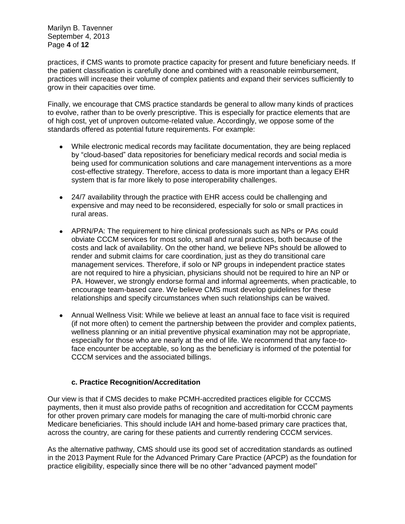Marilyn B. Tavenner September 4, 2013 Page **4** of **12**

practices, if CMS wants to promote practice capacity for present and future beneficiary needs. If the patient classification is carefully done and combined with a reasonable reimbursement, practices will increase their volume of complex patients and expand their services sufficiently to grow in their capacities over time.

Finally, we encourage that CMS practice standards be general to allow many kinds of practices to evolve, rather than to be overly prescriptive. This is especially for practice elements that are of high cost, yet of unproven outcome-related value. Accordingly, we oppose some of the standards offered as potential future requirements. For example:

- While electronic medical records may facilitate documentation, they are being replaced by "cloud-based" data repositories for beneficiary medical records and social media is being used for communication solutions and care management interventions as a more cost-effective strategy. Therefore, access to data is more important than a legacy EHR system that is far more likely to pose interoperability challenges.
- 24/7 availability through the practice with EHR access could be challenging and expensive and may need to be reconsidered, especially for solo or small practices in rural areas.
- APRN/PA: The requirement to hire clinical professionals such as NPs or PAs could obviate CCCM services for most solo, small and rural practices, both because of the costs and lack of availability. On the other hand, we believe NPs should be allowed to render and submit claims for care coordination, just as they do transitional care management services. Therefore, if solo or NP groups in independent practice states are not required to hire a physician, physicians should not be required to hire an NP or PA. However, we strongly endorse formal and informal agreements, when practicable, to encourage team-based care. We believe CMS must develop guidelines for these relationships and specify circumstances when such relationships can be waived.
- Annual Wellness Visit: While we believe at least an annual face to face visit is required (if not more often) to cement the partnership between the provider and complex patients, wellness planning or an initial preventive physical examination may not be appropriate, especially for those who are nearly at the end of life. We recommend that any face-toface encounter be acceptable, so long as the beneficiary is informed of the potential for CCCM services and the associated billings.

### **c. Practice Recognition/Accreditation**

Our view is that if CMS decides to make PCMH-accredited practices eligible for CCCMS payments, then it must also provide paths of recognition and accreditation for CCCM payments for other proven primary care models for managing the care of multi-morbid chronic care Medicare beneficiaries. This should include IAH and home-based primary care practices that, across the country, are caring for these patients and currently rendering CCCM services.

As the alternative pathway, CMS should use its good set of accreditation standards as outlined in the 2013 Payment Rule for the Advanced Primary Care Practice (APCP) as the foundation for practice eligibility, especially since there will be no other "advanced payment model"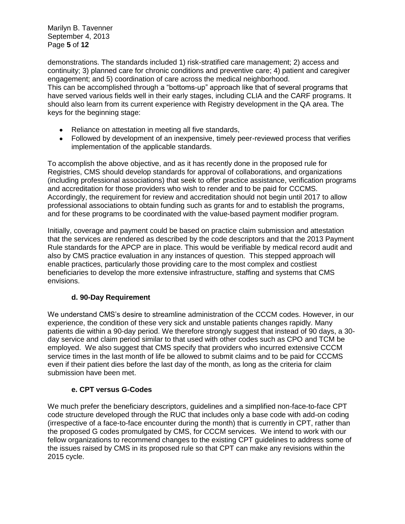Marilyn B. Tavenner September 4, 2013 Page **5** of **12**

demonstrations. The standards included 1) risk-stratified care management; 2) access and continuity; 3) planned care for chronic conditions and preventive care; 4) patient and caregiver engagement; and 5) coordination of care across the medical neighborhood. This can be accomplished through a "bottoms-up" approach like that of several programs that have served various fields well in their early stages, including CLIA and the CARF programs. It should also learn from its current experience with Registry development in the QA area. The keys for the beginning stage:

- Reliance on attestation in meeting all five standards,
- Followed by development of an inexpensive, timely peer-reviewed process that verifies implementation of the applicable standards.

To accomplish the above objective, and as it has recently done in the proposed rule for Registries, CMS should develop standards for approval of collaborations, and organizations (including professional associations) that seek to offer practice assistance, verification programs and accreditation for those providers who wish to render and to be paid for CCCMS. Accordingly, the requirement for review and accreditation should not begin until 2017 to allow professional associations to obtain funding such as grants for and to establish the programs, and for these programs to be coordinated with the value-based payment modifier program.

Initially, coverage and payment could be based on practice claim submission and attestation that the services are rendered as described by the code descriptors and that the 2013 Payment Rule standards for the APCP are in place. This would be verifiable by medical record audit and also by CMS practice evaluation in any instances of question. This stepped approach will enable practices, particularly those providing care to the most complex and costliest beneficiaries to develop the more extensive infrastructure, staffing and systems that CMS envisions.

### **d. 90-Day Requirement**

We understand CMS's desire to streamline administration of the CCCM codes. However, in our experience, the condition of these very sick and unstable patients changes rapidly. Many patients die within a 90-day period. We therefore strongly suggest that instead of 90 days, a 30 day service and claim period similar to that used with other codes such as CPO and TCM be employed. We also suggest that CMS specify that providers who incurred extensive CCCM service times in the last month of life be allowed to submit claims and to be paid for CCCMS even if their patient dies before the last day of the month, as long as the criteria for claim submission have been met.

# **e. CPT versus G-Codes**

We much prefer the beneficiary descriptors, guidelines and a simplified non-face-to-face CPT code structure developed through the RUC that includes only a base code with add-on coding (irrespective of a face-to-face encounter during the month) that is currently in CPT, rather than the proposed G codes promulgated by CMS, for CCCM services. We intend to work with our fellow organizations to recommend changes to the existing CPT guidelines to address some of the issues raised by CMS in its proposed rule so that CPT can make any revisions within the 2015 cycle.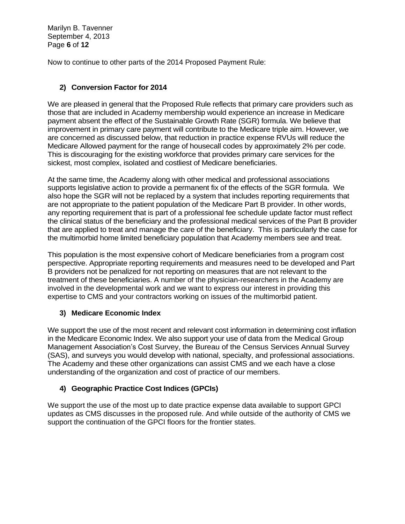Marilyn B. Tavenner September 4, 2013 Page **6** of **12**

Now to continue to other parts of the 2014 Proposed Payment Rule:

# **2) Conversion Factor for 2014**

We are pleased in general that the Proposed Rule reflects that primary care providers such as those that are included in Academy membership would experience an increase in Medicare payment absent the effect of the Sustainable Growth Rate (SGR) formula. We believe that improvement in primary care payment will contribute to the Medicare triple aim. However, we are concerned as discussed below, that reduction in practice expense RVUs will reduce the Medicare Allowed payment for the range of housecall codes by approximately 2% per code. This is discouraging for the existing workforce that provides primary care services for the sickest, most complex, isolated and costliest of Medicare beneficiaries.

At the same time, the Academy along with other medical and professional associations supports legislative action to provide a permanent fix of the effects of the SGR formula. We also hope the SGR will not be replaced by a system that includes reporting requirements that are not appropriate to the patient population of the Medicare Part B provider. In other words, any reporting requirement that is part of a professional fee schedule update factor must reflect the clinical status of the beneficiary and the professional medical services of the Part B provider that are applied to treat and manage the care of the beneficiary. This is particularly the case for the multimorbid home limited beneficiary population that Academy members see and treat.

This population is the most expensive cohort of Medicare beneficiaries from a program cost perspective. Appropriate reporting requirements and measures need to be developed and Part B providers not be penalized for not reporting on measures that are not relevant to the treatment of these beneficiaries. A number of the physician-researchers in the Academy are involved in the developmental work and we want to express our interest in providing this expertise to CMS and your contractors working on issues of the multimorbid patient.

# **3) Medicare Economic Index**

We support the use of the most recent and relevant cost information in determining cost inflation in the Medicare Economic Index. We also support your use of data from the Medical Group Management Association's Cost Survey, the Bureau of the Census Services Annual Survey (SAS), and surveys you would develop with national, specialty, and professional associations. The Academy and these other organizations can assist CMS and we each have a close understanding of the organization and cost of practice of our members.

# **4) Geographic Practice Cost Indices (GPCIs)**

We support the use of the most up to date practice expense data available to support GPCI updates as CMS discusses in the proposed rule. And while outside of the authority of CMS we support the continuation of the GPCI floors for the frontier states.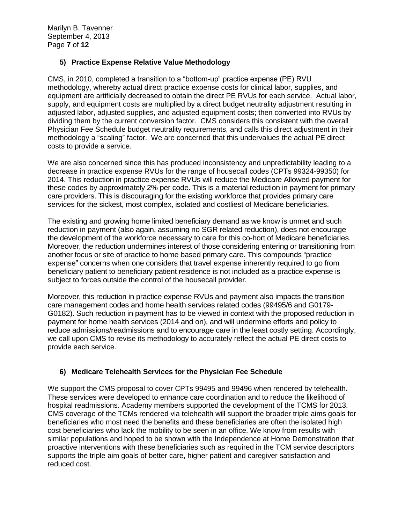Marilyn B. Tavenner September 4, 2013 Page **7** of **12**

# **5) Practice Expense Relative Value Methodology**

CMS, in 2010, completed a transition to a "bottom-up" practice expense (PE) RVU methodology, whereby actual direct practice expense costs for clinical labor, supplies, and equipment are artificially decreased to obtain the direct PE RVUs for each service. Actual labor, supply, and equipment costs are multiplied by a direct budget neutrality adjustment resulting in adjusted labor, adjusted supplies, and adjusted equipment costs; then converted into RVUs by dividing them by the current conversion factor. CMS considers this consistent with the overall Physician Fee Schedule budget neutrality requirements, and calls this direct adjustment in their methodology a "scaling" factor. We are concerned that this undervalues the actual PE direct costs to provide a service.

We are also concerned since this has produced inconsistency and unpredictability leading to a decrease in practice expense RVUs for the range of housecall codes (CPTs 99324-99350) for 2014. This reduction in practice expense RVUs will reduce the Medicare Allowed payment for these codes by approximately 2% per code. This is a material reduction in payment for primary care providers. This is discouraging for the existing workforce that provides primary care services for the sickest, most complex, isolated and costliest of Medicare beneficiaries.

The existing and growing home limited beneficiary demand as we know is unmet and such reduction in payment (also again, assuming no SGR related reduction), does not encourage the development of the workforce necessary to care for this co-hort of Medicare beneficiaries. Moreover, the reduction undermines interest of those considering entering or transitioning from another focus or site of practice to home based primary care. This compounds "practice expense" concerns when one considers that travel expense inherently required to go from beneficiary patient to beneficiary patient residence is not included as a practice expense is subject to forces outside the control of the housecall provider.

Moreover, this reduction in practice expense RVUs and payment also impacts the transition care management codes and home health services related codes (99495/6 and G0179- G0182). Such reduction in payment has to be viewed in context with the proposed reduction in payment for home health services (2014 and on), and will undermine efforts and policy to reduce admissions/readmissions and to encourage care in the least costly setting. Accordingly, we call upon CMS to revise its methodology to accurately reflect the actual PE direct costs to provide each service.

### **6) Medicare Telehealth Services for the Physician Fee Schedule**

We support the CMS proposal to cover CPTs 99495 and 99496 when rendered by telehealth. These services were developed to enhance care coordination and to reduce the likelihood of hospital readmissions. Academy members supported the development of the TCMS for 2013. CMS coverage of the TCMs rendered via telehealth will support the broader triple aims goals for beneficiaries who most need the benefits and these beneficiaries are often the isolated high cost beneficiaries who lack the mobility to be seen in an office. We know from results with similar populations and hoped to be shown with the Independence at Home Demonstration that proactive interventions with these beneficiaries such as required in the TCM service descriptors supports the triple aim goals of better care, higher patient and caregiver satisfaction and reduced cost.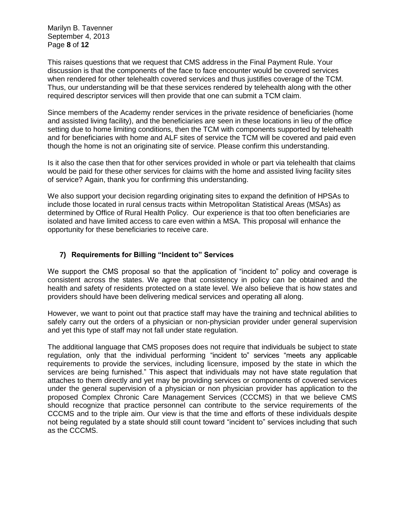Marilyn B. Tavenner September 4, 2013 Page **8** of **12**

This raises questions that we request that CMS address in the Final Payment Rule. Your discussion is that the components of the face to face encounter would be covered services when rendered for other telehealth covered services and thus justifies coverage of the TCM. Thus, our understanding will be that these services rendered by telehealth along with the other required descriptor services will then provide that one can submit a TCM claim.

Since members of the Academy render services in the private residence of beneficiaries (home and assisted living facility), and the beneficiaries are seen in these locations in lieu of the office setting due to home limiting conditions, then the TCM with components supported by telehealth and for beneficiaries with home and ALF sites of service the TCM will be covered and paid even though the home is not an originating site of service. Please confirm this understanding.

Is it also the case then that for other services provided in whole or part via telehealth that claims would be paid for these other services for claims with the home and assisted living facility sites of service? Again, thank you for confirming this understanding.

We also support your decision regarding originating sites to expand the definition of HPSAs to include those located in rural census tracts within Metropolitan Statistical Areas (MSAs) as determined by Office of Rural Health Policy. Our experience is that too often beneficiaries are isolated and have limited access to care even within a MSA. This proposal will enhance the opportunity for these beneficiaries to receive care.

### **7) Requirements for Billing "Incident to" Services**

We support the CMS proposal so that the application of "incident to" policy and coverage is consistent across the states. We agree that consistency in policy can be obtained and the health and safety of residents protected on a state level. We also believe that is how states and providers should have been delivering medical services and operating all along.

However, we want to point out that practice staff may have the training and technical abilities to safely carry out the orders of a physician or non-physician provider under general supervision and yet this type of staff may not fall under state regulation.

The additional language that CMS proposes does not require that individuals be subject to state regulation, only that the individual performing "incident to" services "meets any applicable requirements to provide the services, including licensure, imposed by the state in which the services are being furnished." This aspect that individuals may not have state regulation that attaches to them directly and yet may be providing services or components of covered services under the general supervision of a physician or non physician provider has application to the proposed Complex Chronic Care Management Services (CCCMS) in that we believe CMS should recognize that practice personnel can contribute to the service requirements of the CCCMS and to the triple aim. Our view is that the time and efforts of these individuals despite not being regulated by a state should still count toward "incident to" services including that such as the CCCMS.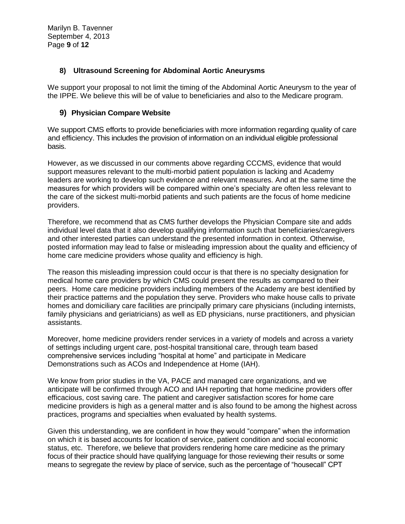### **8) Ultrasound Screening for Abdominal Aortic Aneurysms**

We support your proposal to not limit the timing of the Abdominal Aortic Aneurysm to the year of the IPPE. We believe this will be of value to beneficiaries and also to the Medicare program.

### **9) Physician Compare Website**

We support CMS efforts to provide beneficiaries with more information regarding quality of care and efficiency. This includes the provision of information on an individual eligible professional basis.

However, as we discussed in our comments above regarding CCCMS, evidence that would support measures relevant to the multi-morbid patient population is lacking and Academy leaders are working to develop such evidence and relevant measures. And at the same time the measures for which providers will be compared within one's specialty are often less relevant to the care of the sickest multi-morbid patients and such patients are the focus of home medicine providers.

Therefore, we recommend that as CMS further develops the Physician Compare site and adds individual level data that it also develop qualifying information such that beneficiaries/caregivers and other interested parties can understand the presented information in context. Otherwise, posted information may lead to false or misleading impression about the quality and efficiency of home care medicine providers whose quality and efficiency is high.

The reason this misleading impression could occur is that there is no specialty designation for medical home care providers by which CMS could present the results as compared to their peers. Home care medicine providers including members of the Academy are best identified by their practice patterns and the population they serve. Providers who make house calls to private homes and domiciliary care facilities are principally primary care physicians (including internists, family physicians and geriatricians) as well as ED physicians, nurse practitioners, and physician assistants.

Moreover, home medicine providers render services in a variety of models and across a variety of settings including urgent care, post-hospital transitional care, through team based comprehensive services including "hospital at home" and participate in Medicare Demonstrations such as ACOs and Independence at Home (IAH).

We know from prior studies in the VA, PACE and managed care organizations, and we anticipate will be confirmed through ACO and IAH reporting that home medicine providers offer efficacious, cost saving care. The patient and caregiver satisfaction scores for home care medicine providers is high as a general matter and is also found to be among the highest across practices, programs and specialties when evaluated by health systems.

Given this understanding, we are confident in how they would "compare" when the information on which it is based accounts for location of service, patient condition and social economic status, etc. Therefore, we believe that providers rendering home care medicine as the primary focus of their practice should have qualifying language for those reviewing their results or some means to segregate the review by place of service, such as the percentage of "housecall" CPT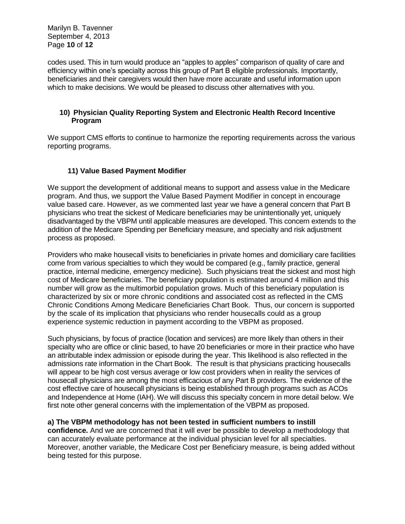Marilyn B. Tavenner September 4, 2013 Page **10** of **12**

codes used. This in turn would produce an "apples to apples" comparison of quality of care and efficiency within one's specialty across this group of Part B eligible professionals. Importantly, beneficiaries and their caregivers would then have more accurate and useful information upon which to make decisions. We would be pleased to discuss other alternatives with you.

#### **10) Physician Quality Reporting System and Electronic Health Record Incentive Program**

We support CMS efforts to continue to harmonize the reporting requirements across the various reporting programs.

### **11) Value Based Payment Modifier**

We support the development of additional means to support and assess value in the Medicare program. And thus, we support the Value Based Payment Modifier in concept in encourage value based care. However, as we commented last year we have a general concern that Part B physicians who treat the sickest of Medicare beneficiaries may be unintentionally yet, uniquely disadvantaged by the VBPM until applicable measures are developed. This concern extends to the addition of the Medicare Spending per Beneficiary measure, and specialty and risk adjustment process as proposed.

Providers who make housecall visits to beneficiaries in private homes and domiciliary care facilities come from various specialties to which they would be compared (e.g., family practice, general practice, internal medicine, emergency medicine). Such physicians treat the sickest and most high cost of Medicare beneficiaries. The beneficiary population is estimated around 4 million and this number will grow as the multimorbid population grows. Much of this beneficiary population is characterized by six or more chronic conditions and associated cost as reflected in the CMS Chronic Conditions Among Medicare Beneficiaries Chart Book. Thus, our concern is supported by the scale of its implication that physicians who render housecalls could as a group experience systemic reduction in payment according to the VBPM as proposed.

Such physicians, by focus of practice (location and services) are more likely than others in their specialty who are office or clinic based, to have 20 beneficiaries or more in their practice who have an attributable index admission or episode during the year. This likelihood is also reflected in the admissions rate information in the Chart Book. The result is that physicians practicing housecalls will appear to be high cost versus average or low cost providers when in reality the services of housecall physicians are among the most efficacious of any Part B providers. The evidence of the cost effective care of housecall physicians is being established through programs such as ACOs and Independence at Home (IAH). We will discuss this specialty concern in more detail below. We first note other general concerns with the implementation of the VBPM as proposed.

### **a) The VBPM methodology has not been tested in sufficient numbers to instill**

**confidence.** And we are concerned that it will ever be possible to develop a methodology that can accurately evaluate performance at the individual physician level for all specialties. Moreover, another variable, the Medicare Cost per Beneficiary measure, is being added without being tested for this purpose.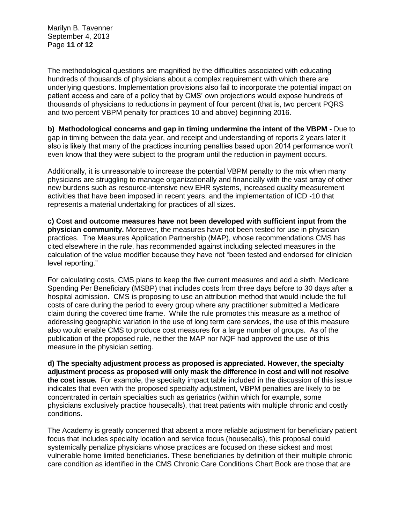Marilyn B. Tavenner September 4, 2013 Page **11** of **12**

The methodological questions are magnified by the difficulties associated with educating hundreds of thousands of physicians about a complex requirement with which there are underlying questions. Implementation provisions also fail to incorporate the potential impact on patient access and care of a policy that by CMS' own projections would expose hundreds of thousands of physicians to reductions in payment of four percent (that is, two percent PQRS and two percent VBPM penalty for practices 10 and above) beginning 2016.

**b) Methodological concerns and gap in timing undermine the intent of the VBPM -** Due to gap in timing between the data year, and receipt and understanding of reports 2 years later it also is likely that many of the practices incurring penalties based upon 2014 performance won't even know that they were subject to the program until the reduction in payment occurs.

Additionally, it is unreasonable to increase the potential VBPM penalty to the mix when many physicians are struggling to manage organizationally and financially with the vast array of other new burdens such as resource-intensive new EHR systems, increased quality measurement activities that have been imposed in recent years, and the implementation of ICD -10 that represents a material undertaking for practices of all sizes.

**c) Cost and outcome measures have not been developed with sufficient input from the physician community.** Moreover, the measures have not been tested for use in physician practices. The Measures Application Partnership (MAP), whose recommendations CMS has cited elsewhere in the rule, has recommended against including selected measures in the calculation of the value modifier because they have not "been tested and endorsed for clinician level reporting."

For calculating costs, CMS plans to keep the five current measures and add a sixth, Medicare Spending Per Beneficiary (MSBP) that includes costs from three days before to 30 days after a hospital admission. CMS is proposing to use an attribution method that would include the full costs of care during the period to every group where any practitioner submitted a Medicare claim during the covered time frame. While the rule promotes this measure as a method of addressing geographic variation in the use of long term care services, the use of this measure also would enable CMS to produce cost measures for a large number of groups. As of the publication of the proposed rule, neither the MAP nor NQF had approved the use of this measure in the physician setting.

**d) The specialty adjustment process as proposed is appreciated. However, the specialty adjustment process as proposed will only mask the difference in cost and will not resolve the cost issue.** For example, the specialty impact table included in the discussion of this issue indicates that even with the proposed specialty adjustment, VBPM penalties are likely to be concentrated in certain specialties such as geriatrics (within which for example, some physicians exclusively practice housecalls), that treat patients with multiple chronic and costly conditions.

The Academy is greatly concerned that absent a more reliable adjustment for beneficiary patient focus that includes specialty location and service focus (housecalls), this proposal could systemically penalize physicians whose practices are focused on these sickest and most vulnerable home limited beneficiaries. These beneficiaries by definition of their multiple chronic care condition as identified in the CMS Chronic Care Conditions Chart Book are those that are